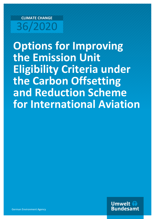# **CLIMATE CHANGE** 36/2020

**Options for Improving the Emission Unit Eligibility Criteria under the Carbon Offsetting and Reduction Scheme for International Aviation**

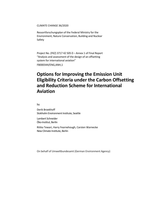CLIMATE CHANGE 36/2020

Ressortforschungsplan of the Federal Ministry for the Environment, Nature Conservation, Building and Nuclear Safety

Project No. (FKZ) 3717 42 505 0 – Annex 1 of Final Report "Analysis and assessment of the design of an offsetting system for international aviation" FB000344/ENG,ANH,1

## **Options for Improving the Emission Unit Eligibility Criteria under the Carbon Offsetting and Reduction Scheme for International Aviation**

by

Derik Broekhoff Stokholm Environment Institute, Seattle

Lambert Schneider Öko-Institut, Berlin

Ritika Tewari, Harry Fearnehough, Carsten Warnecke New Climate Institute, Berlin

On behalf of Umweltbundesamt (German Environment Agency)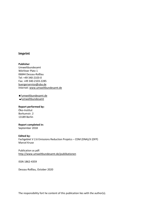#### **Imprint**

**Publisher** Umweltbundesamt Wörlitzer Platz 1 06844 Dessau-Roßlau Tel: +49 340-2103-0 Fax: +49 340-2103-2285 [buergerservice@uba.de](mailto:buergerservice@uba.de)  Internet: [www.umweltbundesamt.de](file:///C:\Users\j.reithinger\AppData\Local\Microsoft\Windows\INetCache\Content.Outlook\1KIYZW8V\www.umweltbundesamt.de)

/umweltbundesamt.de /umweltbundesamt

#### **Report performed by:**

Öko-Institut Borkumstr. 2 13189 Berlin

## **Report completed in:**

September 2018

#### **Edited by:**

Fachgebiet V 2.6 Emissions Reduction Projetcs – CDM (DNA)/JI (DFP) Marcel Kruse

#### Publication as pdf: <http://www.umweltbundesamt.de/publikationen>

ISSN 1862-4359

Dessau-Roßlau, October 2020

The responsibility fort he content of this publication lies with the author(s).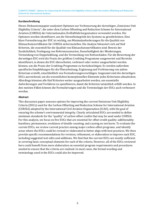#### **Kurzbeschreibung**

Dieses Diskussionspapier analysiert Optionen zur Verbesserung der derzeitigen "Emissions Unit Eligibility Criteria", die unter dem Carbon Offsetting and Reduction Scheme for International Aviation (CORSIA) der Internationalen Zivilluftfahrtorganisation verwendet werden. Die Optionen werden identifiziert, um die Umweltintegrität des Systems zu gewährleisten. Eine klare Formulierung der EUC ist wichtig, um Minimalanforderungen für die Qualität von Klimaschutzzertifikaten für CORSIA sicherzustellen. Die Analyse fokussiert sich auf fünf Kriterien, die essentiell für die Qualität von Klimaschutzzertifikaten sind: Beweis der Zusätzlichkeit, Festlegung von Referenzszenarien, Dauerhaftigkeit der Minderungen, Vermeidung von Doppelzählung, und die Vermeidung von Nettoschäden. Für die Bewertung der derzeitigen EUC wird die Praxis der größten Crediting Programme ausgewertet und Bereiche identifiziert, in denen die EUC überarbeitet, verfeinert oder weiter ausgearbeitet werden können, um die Praxis der Crediting-Programme zu berücksichtigen. Es werden außerdem spezifische Empfehlungen für die Überarbeitung, Ergänzung und Verfeinerung von jedem Kriterium erstellt, einschließlich von Formulierungsvorschlägen. Insgesamt sind die derzeitigen EUCs ausreichend, um die wesentlichen konzeptionellen Elemente jedes Kriteriums abzudecken. Allerdings könnten alle fünf Kriterien weiter ausgearbeitet werden, um essentielle Anforderungen und Verfahren zu spezifizieren, damit die Kriterien tatsächlich erfüllt werden. In den meisten Fällen können die Formulierungen und die Terminologie der EUCs auch verbessert werden.

#### **Abstract**

This discussion paper assesses options for improving the current Emissions Unit Eligibility Criteria (EUCs) used for the Carbon Offsetting and Reduction Scheme for International Aviation (CORSIA) adopted by the International Civil Aviation Organization (ICAO), with the goal of ensuring the scheme's environmental integrity. Clearly articulated EUCs are needed to define minimum standards for the "quality" of carbon offset credits that may be used under CORSIA. For this analysis, we focus on five EUCs that are essential for offset credit quality: additionality; baselines; permanence; avoidance of double counting; and causing no net harm. To evaluate the current EUCs, we review current practice among major carbon offset programs, and identify areas where the EUCs could be revised or elaborated to better align with best practices. We then provide specific recommendations for revision, refinement, or elaboration to improve each EUC, including suggested text edits and additions. We find that the current EUCs are mostly sufficient in covering basic conceptual elements for each of the criteria. However, all of the EUCs reviewed here could benefit from more elaboration on essential program requirements and procedures needed to ensure that the criteria are realized. In most cases, the formal wording and terminology used in the EUCs could also be improved.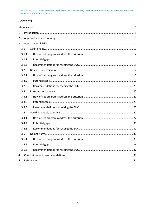## **Contents**

| $\mathbf 1$ |       |  |  |  |
|-------------|-------|--|--|--|
| 2           |       |  |  |  |
| 3           |       |  |  |  |
|             | 3.1   |  |  |  |
|             | 3.1.1 |  |  |  |
|             | 3.1.2 |  |  |  |
|             | 3.1.3 |  |  |  |
|             | 3.2   |  |  |  |
|             | 3.2.1 |  |  |  |
|             | 3.2.2 |  |  |  |
|             | 3.2.3 |  |  |  |
|             | 3.3   |  |  |  |
|             | 3.3.1 |  |  |  |
|             | 3.3.2 |  |  |  |
|             | 3.3.3 |  |  |  |
|             | 3.4   |  |  |  |
|             | 3.4.1 |  |  |  |
|             | 3.4.2 |  |  |  |
|             | 3.4.3 |  |  |  |
|             | 3.5   |  |  |  |
|             | 3.5.1 |  |  |  |
|             | 3.5.2 |  |  |  |
|             | 3.5.3 |  |  |  |
| 4           |       |  |  |  |
| 5           |       |  |  |  |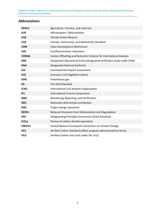## <span id="page-6-0"></span>**Abbreviations**

| <b>AFOLU</b>       | Agriculture, Forestry, and Land-Use                                    |
|--------------------|------------------------------------------------------------------------|
| A/R                | Afforestation / Reforestation                                          |
| <b>CAR</b>         | <b>Climate Action Reserve</b>                                          |
| <b>CCB</b>         | Climate, Community, and Biodiversity Standard                          |
| <b>CDM</b>         | Clean Development Mechanism                                            |
| <b>CER</b>         | Certified emission reductions                                          |
| <b>CORSIA</b>      | Carbon Offsetting and Reduction Scheme for International Aviation      |
| <b>DOE</b>         | Designated Operational Entity (designated verification body under CDM) |
| <b>DNA</b>         | <b>Designated National Authority</b>                                   |
| <b>EIA</b>         | <b>Environmental Impact Assessment</b>                                 |
| <b>EUC</b>         | <b>Emissions Unit Eligibility Criteria</b>                             |
| <b>GHG</b>         | Greenhouse gas                                                         |
| <b>GS</b>          | The Gold Standard                                                      |
| <b>ICAO</b>        | International Civil Aviation Organization                              |
| <b>IFC</b>         | <b>International Finance Corporation</b>                               |
| <b>MRV</b>         | Monitoring, Reporting, and Verification                                |
| <b>NDC</b>         | Nationally determined contribution                                     |
| <b>PDD</b>         | Project design document                                                |
| REDD+              | Reduced Emissions from Deforestation and Degradation                   |
| <b>SPA</b>         | Safeguarding Principles Assessment (Gold Standard)                     |
| tCO <sub>2</sub> e | Tonnes of carbon dioxide equivalent                                    |
| <b>UNFCCC</b>      | United Nations Framework Convention on Climate Change                  |
| <b>VCS</b>         | Verified Carbon Standard (offset program administered by Verra)        |
| <b>VCU</b>         | Verified Carbon Unit (unit under the VCS)                              |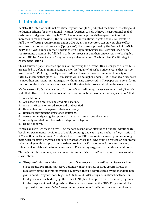## <span id="page-7-0"></span>**1 Introduction**

In 2016, the International Civil Aviation Organization (ICAO) adopted the Carbon Offsetting and Reduction Scheme for International Aviation (CORSIA) to help achieve its aspirational goal of carbon-neutral growth starting in 2021. The scheme requires airline operators to offset increases in carbon dioxide  $(CO_2)$  emissions from international flights above 2020 levels. To fulfil their offsetting requirements under CORSIA, airline operators can only purchase offset units from carbon offset programs ("programs") that were approved by the Council of ICAO. In 2019, the ICAO Council adopted Emissions Unit Eligibility Criteria (EUCs) which specify the requirements that must be fulfilled in order for programs and their offset credits to be eligible under CORSIA. These include "program design elements" and "Carbon Offset Credit Integrity Assessment Criteria."

This discussion paper assesses options for improving the current EUCs. Clearly articulated EUCs are needed to define minimum standards for the "quality" of carbon offset credits that may be used under CORSIA. High quality offset credits will ensure the environmental integrity of CORSIA, meaning that global GHG emissions will be no higher under CORSIA than if airlines were to meet their emissions limitation goals without using offset credits. The paper can inform future revisions of the EUCs that are envisaged with the view to improve and refine them over time.

<span id="page-7-2"></span>ICAO's current EUCs include a set of "carbon offset credit integrity assessment criteria,"1 which state that offset credits must represent "emission reductions, avoidance, or sequestrati[on](#page-7-1)" that:

- 1. Are additional.
- 2. Are based on a realistic and credible baseline.
- 3. Are quantified, monitored, reported, and verified.
- 4. Have a clear and transparent chain of custody.
- 5. Represent permanent emissions reductions.
- 6. Assess and mitigate against potential increase in emissions elsewhere.
- 7. Are only counted once towards a mitigation obligation.
- 8. Do no net harm.

For this analysis, we focus on five EUCs that are essential for offset credit quality: additionality; baselines; permanence; avoidance of double counting; and causing no net harm (i.e., criteria 1, 2, 5, 7, and 8 in the list above). To evaluate the current EUCs, we review current practice among major carbon offset programs, and identify areas where the EUCs could be revised or elaborated to better align with best practices. We then provide specific recommendations for revision, refinement, or elaboration to improve each EUC, including suggested text edits and additions.

Throughout this document, we use several terms as a "shorthand" or in ways that may require clarification:

<span id="page-7-1"></span>► "**Program**" refers to a third-party carbon offset program that certifies and issues carbon offset credits. Programs may serve voluntary offset markets or issue credits for use in regulatory emissions trading systems. Likewise, they be administered by independent, nongovernmental organizations (e.g., the VCS, GS, and CAR), or by international, national, or local governmental bodies (e.g., the CDM). ICAO plans to approve one or several programs for the purpose of qualifying carbon offset credits as meeting the EUCs. Programs will be approved if they meet ICAO's "program design elements" and have provisions in place to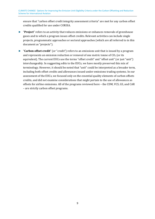ensure that "carbon offset credit integrity assessment criteria" are met for any carbon offset credits qualified for use under CORSIA.

- ► "**Project**" refers to an activity that reduces emissions or enhances removals of greenhouse gases and to which a program issues offset credits. Relevant activities can include single projects, programmatic approaches or sectoral approaches (which are all referred to in this document as "projects").
- ► "**Carbon offset credit**" (or "credit") refers to an emissions unit that is issued by a program and represents an emission reduction or removal of one metric tonne of  $CO<sub>2</sub>$  (or its equivalent). The current EUCs use the terms "offset credit" and "offset unit" (or just "unit") interchangeably. In suggesting edits to the EUCs, we have mostly preserved this mix of terminology. However, it should be noted that "unit" could be interpreted as a broader term, including both offset credits and allowances issued under emissions trading systems. In our assessment of the EUCs, we focused only on the essential quality elements of carbon offsets credits, and did not examine considerations that might pertain to the use of allowances as offsets for airline emissions. All of the programs reviewed here – the CDM, VCS, GS, and CAR – are strictly carbon offset programs.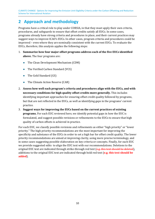## <span id="page-9-0"></span>**2 Approach and methodology**

Programs have a critical role to play under CORSIA, in that they must apply their own criteria, procedures, and safeguards to ensure that offset credits satisfy all EUCs. In some cases, programs already have strong criteria and procedures in place, and their current practices may suggest ways to improve ICAO's EUCs. In other cases, program criteria and procedures could be improved – even where they are nominally consistent with the current EUCs. To evaluate the EUCs, therefore, this analysis applies the following steps:

- 1. **Summarize how four major offset programs address each of the five EUCs identified above.** The four programs are:
	- The Clean Development Mechanism (CDM)
	- The Verified Carbon Standard (VCS)
	- The Gold Standard (GS)
	- The Climate Action Reserve (CAR)
- 2. **Assess how well each program's criteria and procedures align with the EUCs, and with necessary conditions for high quality offset credits more generally.** This includes identifying important approaches for ensuring offset credit quality followed by programs, but that are not reflected in the EUCs, as well as identifying gaps in the programs' current practice.
- 3. **Suggest ways for improving the EUCs based on the current practices of existing programs.** For each EUC reviewed here, we identify potential gaps in how the EUC is formulated, and suggest possible revisions or refinements to the EUCs to ensure that high quality of carbon offsets is achieved in practice.

For each EUC, we classify possible revisions and refinements as either "high priority" or "lower priority." The high priority recommendations are the most important for improving the specificity and substance of the EUCs in order to set a high bar for offset credit quality. The lower priority recommendations are aimed at improving clarity, using more precise terminology, and in some cases suggesting possible elaboration on key criteria or concepts. Finally, for each EUC we provide suggested edits to align the EUC text with our recommendations. Deletions to the original EUC text are indicated through strike-through red text  $(e.g., this text should be deleted)$ , additions to the original EUC text are indicated through bold red text (**e.g. this text should be added**).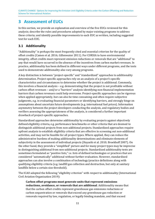## <span id="page-10-0"></span>**3 Assessment of EUCs**

In this section, we provide an explanation and overview of the five EUCs reviewed for this analysis; describe the rules and procedures adopted by major existing programs to address these criteria; and identify possible improvements to each EUC as written, including suggested text for each EUC.

## <span id="page-10-1"></span>**3.1 Additionality**

"Additionality" is perhaps the most frequently cited and essential criterion for the quality of offset credits (Cames et al. 2016; Gillenwater 2011). For CORSIA to have environmental integrity, offset credits must represent emission reductions or removals that are "additional" to any that would have occurred in the absence of the incentives from carbon market revenues. In practice, additionality has been defined in different ways under different programs, and the tests used to demonstrate additionality also vary among programs.

A key distinction is between "project-specific" and "standardized" approaches to additionality determination. Project-specific approaches rely on an analysis of a project's specific characteristics and circumstances to determine whether the project is additional. Commonly, this involves a financial analysis – e.g. demonstrating that the project is not profitable without carbon offset revenues – and/or a "barriers" analysis identifying non-financial implementation barriers that carbon revenues could help overcome. Project-specific approaches can be rigorous when applied appropriately, but can also be time consuming and often require subjective judgments, e.g. in evaluating financial parameters or identifying barriers, and strongly hinge on assumptions about uncertain future developments (e.g. international fuel prices). Information asymmetry between the project developers conducting the analysis, and regulatory bodies and verifiers assessing the appropriateness of the analysis, is considered a further important drawback of project-specific approaches.

Standardized approaches determine additionality by evaluating projects against objectively defined eligibility criteria, e.g. performance benchmarks or other criteria that are deemed to distinguish additional projects from non-additional projects. Standardized approaches require upfront analysis to establish eligibility criteria that are effective in screening out non-additional activities, and may not be feasible for all project types. Where applied, they can reduce the administrative burdens of making additionality determinations and eliminate elements of subjectivity in the assessment of individual projects (Hayashi et al. 2010; Broekhoff 2007). On the other hand, they provide a "simplified" picture and for many project types may be imprecise in distinguishing additional from non-additional projects. Standardized additionality tests are sometimes formulated as "positive lists," i.e. lists of defined technologies or practices that are considered "automatically" additional without further evaluation. However, standardized approaches can also involve a combination of technology/practice definitions along with qualifying eligibility criteria (e.g. landfill gas collection and destruction, but only at sanitary landfills below a certain size threshold).

The ICAO adopted the following "eligibility criterion" with respect to additionality (International Civil Aviation Organization 2019):

**Carbon offset programs must generate units that represent emissions reductions, avoidance, or removals that are additional**. Additionality means that that the carbon offset credits represent greenhouse gas emissions reductions or carbon sequestration or removals that exceed any greenhouse gas reduction or removals required by law, regulation, or legally binding mandate, and that exceed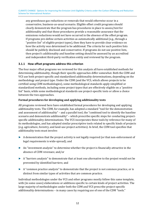any greenhouse gas reductions or removals that would otherwise occur in a conservative, business-as-usual scenario. Eligible offset credit programs should clearly demonstrate that the program has procedures in place to assess/test for additionality and that those procedures provide a reasonable assurance that the emissions reductions would not have occurred in the absence of the offset program. If programs pre-define certain activities as automatically additional (e.g., through a "positive list" of eligible project types), then they have to provide clear evidence on how the activity was determined to be additional. The criteria for such positive lists should be publicly disclosed and conservative. If programs do not use positive lists, then project's additionality and baseline setting should be assessed by an accredited and independent third-party verification entity and reviewed by the program.

## <span id="page-11-0"></span>**3.1.1 How offset programs address this criterion**

The four major offset programs we reviewed for this analysis all have established methods for determining additionality, though their specific approaches differ somewhat. Both the CDM and VCS use both project-specific and standardized additionality determinations, depending on the methodology and project type. Under the CDM (and the VCS, which allows projects to be certified using CDM methodologies), some methodological standards apply simplified or standardized methods, including some project types that are effectively eligible on a "positive list" basis, while some methodological standards use project-specific tests or allow a choice between the two approaches.

## **Formal procedures for developing and applying additionality tests**

All programs reviewed here have established formal procedures for developing and applying additionality tests. The CDM, for example, has adopted a standard "tool for the demonstration and assessment of additionality" – and a parallel tool, the "combined tool to identify the baseline scenario and demonstrate additionality" – which prescribe specific steps for conducting projectspecific additionality determinations. The VCS incorporates these tools by reference for many of its methodologies, and has adopted similar prescriptive tools related to specific kinds of projects (e.g. agriculture, forestry, and land-use project activities). In brief, the CDM tool specifies that additionality tests must involve:

- ► A demonstration that the project activity is not legally required (or that non-enforcement of legal requirements is wide-spread); and
- ► An "investment analysis" to determine whether the project is financially attractive in the absence of CDM revenues; and/or
- ► A "barriers analysis" to demonstrate that at least one alternative to the project would not be prevented by identified barriers; and
- ► A "common practice analysis" to demonstrate that the project is not common practice, or is distinct from similar types of activities that are common practice.

Individual methodologies under the VCS and other programs mostly follow this same template, with (in some cases) elaborations or additions specific to certain kinds of project activities. The large majority of methodologies under both the CDM and VCS prescribe project-specific additionality determinations – in many cases by requiring use of one of the CDM "tools."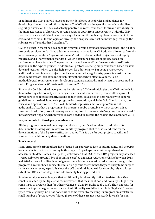In addition, the CDM and VCS have separately developed sets of rules and guidance for developing *standardized* additionality tests. The VCS allows the specification of standardized eligibility criteria on the basis of activity penetration rates, conditions for financial viability, or the (non-)existence of alternative revenue streams apart from offset credits. Under the CDM, positive lists are established in various ways, including through a top-down assessment of the costs and barriers of technologies or through the proposals by host countries (e.g. through the submission of "standardized baselines").

CAR is distinct in that it has designed its program around standardized approaches, and all of its protocols employ standardized additionality tests in some form. CAR additionality tests formally have two components: a "legal requirements" test to determine that projects are not legally required, and a "performance standard" which determines project eligibility based on performance characteristics. The precise nature and scope of "performance standard" tests depends on the type of project. In addition, all protocols set eligibility conditions based on start date and location, which can also help screen for additionality. For some project types, additionality tests involve project-specific characteristics, e.g. forestry projects must in some cases demonstrate lack of financial viability without carbon offset revenues. Basic methodological requirements for developing standardized additionality tests are presented in CAR's Program Manual (Climate Action Reserve 2011).

Finally, the Gold Standard incorporates by reference CDM methodologies and CDM methods for demonstrating additionality (both project-specific and standardized). It also allows project developers to propose alternative additionality tests, developed in accordance with general guidelines in the Gold Standard's program documentation, which the Gold Standard may then review and approve for use. The Gold Standard emphasizes the concept of "financial additionality," i.e. that a project must be shown to not be profitable without carbon offset revenues. In addition, project developers are required to demonstrate "ongoing financial need," indicating that ongoing carbon revenues are needed to sustain the project (Gold Standard 2018).

## **Requirements for third-party verification**

All the programs reviewed here require third-party verification related to additionality determinations, along with reviews or audits by program staff to assess and confirm the determinations of third-party verification bodies. This is true for both project-specific and standardized additionality determinations.

#### **Track record**

Many critiques of carbon offsets have focused on a perceived lack of additionality, and the CDM has come in for particular scrutiny in this regard. In perhaps the most comprehensive assessment to date, Cames et al. (2016) determined that 85% of the CDM projects they assessed – responsible for around 73% of potential certified emission reductions (CERs) between 2013 and 2020 – have a low likelihood of generating additional emission reductions. Although other programs have not been subject to similarly rigorous assessments, they are likely to be subject to the same concerns, especially since the VCS and Gold Standard, for example, rely to a large extent on CDM methodologies and additionality testing procedures.

Fundamentally, one challenge is that additionality is inherently difficult to determine. One conclusion cited by multiple studies, however, is that the risk of non-additionality is higher for some types of projects than for others (Cames et al. 2016; Bailis et al. 2016). Thus, one way for programs to provide greater assurance of additionality would be to exclude "high risk" project types from eligibility. CAR has done this to some extent by focusing its program on a relatively small number of project types (although some of these are not necessarily low risk for non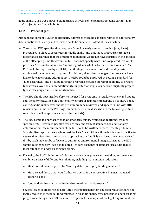additionality). The VCS and Gold Standard are actively contemplating removing certain "high risk" project types from eligibility.

## <span id="page-13-0"></span>**3.1.2 Potential gaps**

Although the current EUC for additionality addresses the main concepts related to additionality determinations, its clarity and precision could be enhanced. Potential issues include:

- ► The current EUC specifies that programs "should clearly demonstrate that [they have] procedures in place to assess/test for additionality and that those procedures provide a reasonable assurance that the emissions reductions would not have occurred in the absence of the offset program." However, the EUC does not specify what kinds of procedures would provide a "reasonable assurance" in this regard, nor what is deemed as "reasonable". The EUC could be improved by explicitly mentioning core elements of additionality tests established under existing programs. In addition, given the challenges that programs have had to date in ensuring additionality, the EUC could be improved by setting a standard for "high assurance," and by stipulating that programs should either limit eligibility to project types with a low risk of non-additionality, or (alternatively) exclude from eligibility project types with a high risk of non-additionality.
- ► The EUC should specifically reference the need for programs to regularly review and update additionality tests. Since the additionality of certain activities can depend on country policy context, additionality tests should at a minimum be reviewed and update in line with NDC revision cycles under the Paris Agreement (see also the discussion in the following section regarding baseline updates and crediting periods).
- ► The EUC refers to approaches that automatically qualify projects as additional through "positive lists." However, positive lists are only one form of standardized additionality determination. The requirements of the EUC could be written to more broadly pertain to "standardized approaches, such as positive lists." In addition, although it is sound practice to ensure that criteria for standardized approaches are "publicly disclosed and conservative," this by itself may not be sufficient to guarantee environmental integrity. Instead, the EUC should refer explicitly– as already noted – to core elements of standardized additionality tests established under existing programs.
- ► Formally, the EUC's definition of additionality is not as precise as it could be, and seems to combine a series of different formulations, including that emission reductions:
	- Must exceed those required by "law, regulation, or legally binding mandate";
	- Must exceed those that "would otherwise occur in a conservative, business-as-usual scenario"; and
	- "[W]ould not have occurred in the absence of the offset program."

Several issues could be raised here. First, the requirement that emission reductions are not legally required is essential (and reflected in all additionality tests prescribed under existing programs, although the CDM makes an exception, for example, where legal requirements are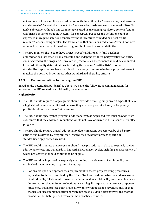not enforced); however, it is also redundant with the notion of a "conservative, business-asusual scenario." Second, the concept of a "conservative, business-as-usual scenario" itself is fairly subjective. Although this terminology is used in an existing regulatory context (under California's emissions trading system), for conceptual purposes the definition could be expressed more precisely as a scenario "without incentives provided by offset credit revenues" or something similar. The formulation that emissions reductions "would not have occurred in the absence of the offset program" is closest to a sound definition.

 $\blacktriangleright$  The EUC mention the need to have project-specific additionality (and baseline) determinations "assessed by an accredited and independent third-party verification entity and reviewed by the program." However, in practice such assessments should be conducted for all additionality determinations, including those using "positive lists" or other standardized approaches, because it is still necessary to assess whether a proposed project matches the positive list or meets other standardized eligibility criteria.

## <span id="page-14-0"></span>**3.1.3 Recommendations for revising the EUC**

Based on the potential gaps identified above, we make the following recommendations for improving the EUC related to additionality determinations:

### **High priority**

- ► The EUC should require that programs should exclude from eligibility project types that have a high risk of being non-additional because they are legally required and/or frequently profitable without carbon offset revenues.
- ► The EUC should specify that programs' additionality testing procedures must provide "high assurance" that the emissions reductions would not have occurred in the absence of an offset program.
- ► The EUC should require that all additionality determinations be reviewed by third-party entities and reviewed by program staff, regardless of whether project-specific or standardized approaches are used.
- ► The EUC could stipulate that programs should have procedures in place to regularly review additionality tests and standards in line with NDC revision cycles, including an assessment of which project types should continue to be eligible.
- ► The EUC could be improved by explicitly mentioning core elements of additionality tests established under existing programs, including:
	- For project-specific approaches, a requirement to assess projects using procedures equivalent to those prescribed by the CDM's "tool for the demonstration and assessment of additionality." This would mean, at a minimum, that additionality tests must involve a determination that emission reductions are not legally required; that project proponents must show that a project is not financially viable without carbon revenues and/or that the project faces implementation barriers not faced by viable alternatives; and that the project can be distinguished from common practice activities.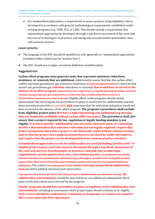For standardized approaches, a requirement to assess projects using eligibility criteria developed in accordance with general methodological requirements established under existing programs (e.g., CDM, VCS, or CAR). This should include a requirement that standardized approaches be developed through a top-down assessment of the costs and barriers of technologies or practices, and taking into account market penetration rates and common practice.

#### **Lower priority**

- ► The language of the EUC should be modified to refer generally to "standardized approaches" (included within which may be "positive lists").
- ► The EUC should use a single, consistent definition of additionality.

### **Suggested text**

**Carbon offset programs must generate units that represent emissions reductions, avoidance, or removals that are additional.** Additionality means that that the carbon offset credits represent greenhouse gas emissions reductions or carbon sequestration or removals that exceed any greenhouse gas **emission** reduction**s** or removals **that would have occurred in the absence of an offset program.** required by law, regulation, or legally binding mandate, and that exceed any greenhouse gas reductions or removals that would otherwise occur in a conservative, business-as-usual scenario. Eligible offset credit programs should clearly demonstrate that the program has procedures in place to assess/test for additionality and that those procedures provide a reasonable **high** assurance that the emissions reductions would not have occurred in the absence of the offset program. **The program's procedures shall exclude from eligibility project types that have a high risk of being non-additional (e.g. because they are frequently profitable without carbon offset revenues). The procedures shall also ensure that a project required by law, regulation or legally binding mandate is not eligible. If "project-specific" additionality tests are used, such tests must, at a minimum, involve a determination that emission reductions are not legally required; require that project proponents show that a project is not financially viable without carbon revenues and/or that the project faces implementation barriers not faced by viable alternatives; and require that the project can be distinguished from common practice activities.** 

**If standardized approaches to test for additionality are used (including "positive lists" of eligible project types), such tests must be developed through a top-down assessment of the costs and barriers of technologies or practices, and take into account legal requirements, market penetration rates, and common practice.** If programs pre-define certain activities as automatically additional (e.g., through a "positive list" of eligible project types), then they have to provide clear evidence on how the activity was determined to be additional. The criteria for such positive lists **used to develop standardized additionality tests** should be publicly disclosed and conservative.

If programs do not use positive lists, then project's additionality and baseline setting **All additionality determinations** should be assessed by an accredited and independent thirdparty verification entity and reviewed by the program.

**Finally, programs should have procedures in place to regularly review additionality tests and standards**, including an assessment which project types should continue to be eligible. **Such reviews should be conducted at a minimum as frequently as revisions of countries' NDCs occur under the Paris Agreement.**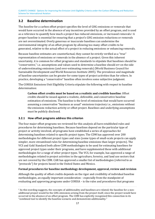## <span id="page-16-0"></span>**3.2 Baseline determination**

<span id="page-16-3"></span>The *baseline* for a carbon offset project specifies the level of GHG emissions or removals that would have occurred in the absence of any incentives provided by an offset program, and is [us](#page-16-2)ed as a reference to quantify how much a project has reduced emissions, or increased removals.2 A proper baseline is essential for ensuring that a project's GHG emission reductions or removals are not overestimated. Overly generous or inaccurate baselines can undermine the environmental integrity of an offset program by allowing too many offset credits to be generated, relative to the actual effect of a project in reducing emissions or enhancing removals.

Because baseline estimates are counterfactual, they cannot be strictly verified as a "true" representation of emissions or removals in the absence of a project. Given this inherent uncertainty, it is common for offset programs and standards to stipulate that baselines should be "conservative," i.e. assumptions and values used to determine a baseline should err on the side of underestimating emissions (and over-estimating removals) (World Business Council for Sustainable Development and World Resources Institute 2005). The prevalence and magnitude of baseline uncertainties can be greater for some types of project activities than for others. In practice, developing a "conservative" baseline often involves some subjective judgment.

The CORSIA Emissions Unit Eligibility Criteria stipulate the following with respect to baseline determination:

**Carbon offset credits must be based on a realistic and credible baseline**. Offset credits should be issued against a realistic, defensible, and conservative baseline estimation of emissions. The baseline is the level of emissions that would have occurred assuming a conservative "business as usual" emissions trajectory i.e., emissions without the emissions reduction activity or offset project. Baselines and underlying assumptions must be publicly disclosed.

## <span id="page-16-1"></span>**3.2.1 How offset programs address this criterion**

The four major offset programs we reviewed for this analysis all have established rules and procedures for determining baselines. Because baselines depend on the particular type of project or activity involved, all programs have established a series of approaches for determining baselines related to specific project types. The CDM has approved over 200 methodologies for different project types and sizes (some types of small-scale projects can apply simpler, more streamlined rules for determining baseline emissions than larger projects). The VCS and Gold Standard both allow CDM methodologies to be used for estimating baselines for approved project types under their programs, and have supplemented these with additional methodologies for a range of other project types. The VCS, for example, has approved a range of methodologies related to project activities in the agriculture, forestry, and land use sectors that are not covered by the CDM. CAR has approved a smaller list of methodologies (referred to as "protocols") for projects based in the United States and Mexico.

#### **Formal procedures for baseline methodology development, approval, review and revision**

Although the quality of offset credits depends on the rigor and credibility of individual baseline methodologies, an equally important consideration – especially from the standpoint of evaluating and approving programs under CORSIA – is the rules and procedures that programs

<span id="page-16-2"></span><sup>&</sup>lt;sup>2</sup> As this wording suggests, the concepts of additionality and baselines are related; the baseline for a non[a](#page-16-3)dditional project would be the GHG emissions arising from the project itself, since the project would have occurred in the absence of an offset program. The CDM has explicitly recognized this connection in its "combined tool to identify the baseline scenario and demonstrate additionality."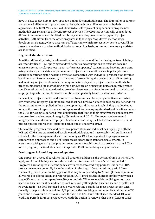have in place to develop, review, approve, and update methodologies. The four major programs we reviewed all have such procedures in place, though they differ somewhat in their approaches. The CDM, VCS, and Gold Standard all allow project proponents to propose new methodologies relevant to different project activities. The CDM has periodically consolidated different methodologies submitted in this way where they cover similar types of project activities. CAR differs from the other programs in following a "top-down" methodology development strategy, where program staff determine which project activities to cover. All the programs review and revise methodologies on an ad hoc basis, as issues or necessary updates are identified.

#### **Degree of standardization**

As with additionality tests, baseline estimation methods can differ in the degree to which they are "standardized" – i.e. applying standard defaults and assumptions to estimate baseline emissions for particular project types – or "project-specific," i.e. estimating baseline emissions using project-specific data and parameters. Project-specific methods are in principle more accurate in estimating the baseline emissions associated with individual projects. Standardized baselines sacrifice some accuracy in the name of streamlining the process of baseline setting, and avoiding subjective elements that may come into play with project-specific methods. In practice, most baseline methodologies fall somewhere on a spectrum between purely projectspecific methods and standardized approaches; baselines are often determined partially based on project-specific parameters or assumptions and partially based on standardized ones.

In principle, project-specific and standardized baselines can be equally effective at ensuring environmental integrity. For standardized baselines, however, effectiveness greatly depends on the rules and criteria applied in their development, and the ways in which they are developed for specific project types. Some methods proposed for developing standardized baselines under the CDM, for example, suffered from deficiencies that limited their effectiveness and may have compromised environmental integrity (Schneider et al. 2012). Moreover, environmental integrity can be undermined if project developers can cherry-pick between standardized and project-specific approaches (Spalding Fecher and Michaelowa 2013).

Three of the programs reviewed here incorporate standardized baselines explicitly. Both the VCS and CDM allow standardized baseline methodologies, and have established guidance and criteria for the development of such methodologies. CAR has organized its program around standardized approaches and all of its protocols incorporate standardized elements, in accordance with general principles and requirements established in its program manual. The fourth program, the Gold Standard, incorporates CDM methodologies by reference.

## **Crediting period and frequency of updates**

One important aspect of baselines that all programs address is the period of time to which they apply and for which they are considered valid – often referred to as a "crediting period." Programs have adopted different policies with respect to crediting periods. Under the CDM, project developers generally have the option of selecting a 10-year crediting period (nonrenewable), or a 7-year crediting period that may be renewed up to 2 times (for a maximum of 21 years). For afforestation and reforestation  $(A/R)$  projects, the choice is similarly between a single 30-year period or up to three 20-year periods. When renewable crediting periods are used, the baseline must be updated at each renewal (although the baseline scenario itself is not re-evaluated). The Gold Standard uses 5-year crediting periods for most project types, with (usually) one possible renewal; for A/R projects, the crediting period must be a minimum of 30 years and a maximum of 50 years. Both the VCS and CAR have established standard 10-year crediting periods for most project types, with the option to renew either once (CAR) or twice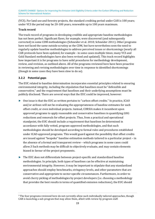(VCS). For land use and forestry projects, the standard crediting period under CAR is 100 years; under VCS the period may be 20-100 years, renewable up to 100 years maximum.

### **Track record**

The track record of programs in developing credible and appropriate baseline methodologies has not been perfect. Significant flaws, for example, were discovered (and subsequently corrected) in some CDM methodologies (Schneider et al. 2010; Schneider 2011). Other programs have not faced the same outside scrutiny as the CDM, but have nevertheless seen the need to regularly update baseline methodologies to address perceived issues or shortcomings (nearly all CAR protocols have been updated, for example - in some cases multiple times; many VCS and Gold Standard methodologies have also been revised and updated). This track record highlights how important it is for programs to have solid procedures for methodology development, review, and revision, as outlined above. All of the programs reviewed here have been proactive in reviewing and revising methodologies over time in response to identified shortcomings (though in some cases they have been slow to do so).

## <span id="page-18-0"></span>**3.2.2 Potential gaps**

The EUC related to baseline determination incorporates essential principles related to ensuring environmental integrity, including the stipulation that baselines must be "defensible and conservative," and the requirement that baselines and their underlying assumptions must be publicly disclosed. There are several ways that the EUC could be improved, however:

- ► One issue is that the EUC as written pertains to "carbon offset credits." In practice, ICAO and/or airlines will not be evaluating the appropriateness of baseline estimates for each offset credit, or even individual projects. Instead, CORSIA makes it incumbent upon approved programs to apply reasonable and conservative baselines in quantifying GHG reductions and removals for offset projects. Thus, from a practical and operational standpoint, the EUC should include a requirement that baselines be determined in accordance with fully vetted, program-approved methodologies, and that such methodologies should be developed according to formal rules and procedures established under ICAO-approved programs. This would guard against the possibility that offset credits are issued against "bespoke" baseline estimation methods tailored to a particular project – in the a[bse](#page-18-1)nce of a formal and transparent review – which programs in some cases could allow.3 Such methods may be difficult to objectively evaluate, and may contain elements biased in favour of the project proponents.
- <span id="page-18-2"></span>► The EUC does not differentiate between project-specific and standardized baseline methodologies. In principle, both types of baselines can be effective at maintaining environmental integrity. However, it may be important to stipulate that any standardized approaches should employ benchmarks, stringency levels, and other parameters that are conservative and appropriate to sector-specific circumstances. Furthermore, in order to avoid cherry picking of methodologies by project developers (i.e. choosing a methodology that provides the best results in terms of quantified emission reductions), the EUC should

<span id="page-18-1"></span><sup>&</sup>lt;sup>3</sup> The four programs reviewed here do not currently allow such individually tailored approaches, though [C](#page-18-2)AR is launching a sub-program that may allow them, albeit with review by program staff.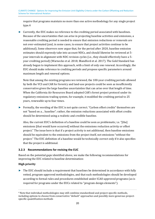<span id="page-19-2"></span>requ[ir](#page-19-1)e that programs maintain no more than one active methodology for any single project type.4

► Currently, the EUC makes no reference to the crediting period associated with baselines. Because of the uncertainties that can arise in projecting baseline activities and emissions, a reasonable crediting period is needed to ensure that emission reductions or removals are not over-estimated (and, in some cases, to ensure that project activities continue to be additional). Some observers now argue that, for the period after 2020, baseline emission estimates should expressly take into account NDCs, and should likewise be reviewed at 5 year intervals in alignment with NDC revision cycles (i.e., they should effectively have a 5 year crediting period) (Warnecke et al. 2018; Blandford et al. 2017). The Gold Standard has already begun to implement this approach, with a limit of only one renewal. Accordingly, the EUC should make reference to crediting periods and propose specific parameters around maximum length and renewal options.

Note that among the existing programs we reviewed, the 100-year crediting periods allowed by both the VCS and CAR for forestry and land-use projects could be seen as insufficiently conservative given the large baseline uncertainties that can arise over that length of time. When the California Air Resources Board adopted CAR's forest project protocol under its regulatory emissions trading system, for example, it modified the crediting period to 25 years, renewable up to four times.

► Formally, the wording of the EUC is not quite correct. "Carbon offset credits" themselves are not "based on a… baseline"; rather, the emission reductions associated with offset credits should be determined using a realistic and credible baseline.

Also, the current EUC's definition of a baseline could be seen as problematic, i.e. "[the] emissions [that would have occurred] without the emissions reduction activity or offset project." The issue here is that if a project activity is not additional, then baseline emissions should be equivalent to the emissions from the project itself, not emissions "without the project." The EUC definition of a baseline would be technically correct only if it also specifies that the project is additional.

## <span id="page-19-0"></span>**3.2.3 Recommendations for revising the EUC**

Based on the potential gaps identified above, we make the following recommendations for improving the EUC related to baseline determination:

## **High priority**

► The EUC should include a requirement that baselines be determined in accordance with fully vetted, program-approved methodologies, and that such methodologies should be developed according to formal rules and procedures established under ICAO-approved programs (as is required for programs under the EUCs related to "program design elements").

<span id="page-19-1"></span><sup>4</sup> Note that individual methodologies may still combine standardized and project-specific methods, [in](#page-19-2)cluding options to choose from conservative "default" approaches and possibly more generous projectspecific quantification methods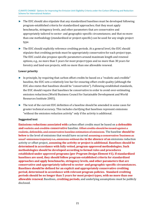- ► The EUC should also stipulate that any standardized baselines must be developed following program-established criteria for standardized approaches; that they must apply benchmarks, stringency levels, and other parameters that are conservative and appropriately tailored to sector- and geographic-specific circumstances; and that no more than one methodology (standardized or project-specific) can be used for any single project type.
- ► The EUC should explicitly reference crediting periods. At a general level, the EUC should stipulate that crediting periods must be appropriately conservative for each project type. The EUC could also propose specific parameters around maximum length and renewal options, e.g., no more than 5 years for most project types and no more than 30 years for forestry and land-use projects, with no more than one allowable renewal.

#### **Lower priority**

- ► In principle, by requiring that carbon offset credits be based on a "realistic and credible" baseline, the EUC sets a relatively low bar for ensuring offset credit quality (although the EUC also states that baselines should be "conservative"). Following established standards, the EUC should require that baselines be conservative in order to avoid over-estimating emission reductions (World Business Council for Sustainable Development and World Resources Institute 2005).
- ► The text of the current EUC definition of a baseline should be amended in some cases for greater technical accuracy. This includes clarifying that baselines represent emissions "without the emission reduction activity" only if the activity is additional.

#### **Suggested text**

**Emissions reductions associated with** carbon offset credits must be based on **a defensible and** realistic and credible **conservative** baseline. Offset credits should be issued against a realistic, defensible, and conservative baseline estimation of emissions. The baseline **should be below** is the level of emissions that would have occurred assuming a conservative "business as usual" emissions trajectory i.e., emissions without the **in the absence of an** emissions reduction activity or offset project**, assuming the activity or project is additional. Baselines should be determined in accordance with fully vetted, program-approved methodologies. Such methodologies should be developed according to formal rules and procedures established under approved programs (per** *Program Design Element* **#1). If standardized baselines are used, they should follow program-established criteria for standardized approaches and apply benchmarks, stringency levels, and other parameters that are conservative and appropriately tailored to sector- and geographic-specific circumstances. Baselines should be defined for an explicit and appropriately conservative crediting period, determined in accordance with relevant program policies. Standard crediting periods should be no longer than 5 years for most project types, with no more than one allowable renewal**. Baselines**, crediting periods**, and underlying assumptions must be publicly disclosed.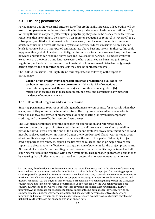## <span id="page-21-0"></span>**3.3 Ensuring permanence**

Permanence is another essential criterion for offset credit quality. Because offset credits will be used to compensate for emissions that will effectively raise atmospheric concentrations of  $CO<sub>2</sub>$ for many thousands of years (effectively in perpetuity), they should be associated with emission reductions that are similarly permanent. If an emission reduction or removal is "reversed" (e.g., subsequently emitted so that no net reduction occurs), then it can no longer function as an offset. Technically, a "reversal" occurs any time an activity reduces emissi[o](#page-21-2)ns below baseline levels for a time, but in a later period emissions rise above baseline levels.<sup>5</sup> In theory, this could happen with any kind of project or activity, but for most sectors there are few if any mechanisms by which emissions can rebound above baseline levels in later periods. The most significant exceptions are the forestry and land-use sectors, where enhanced carbon storage in trees, vegetation, and soils can be reversed due to natural or human-caused disturbances (geologic carbon capture and sequestration projects may also be subject to reversal).

The CORSIA Emissions Unit Eligibility Criteria stipulate the following with respect to permanence:

<span id="page-21-4"></span>**Carbon offset credits must represent emissions reductions, avoidance, or carbon sequestration that are permanent.** If there is risk of reductions or removals being reversed, then either (a) such credits are not eligible or (b) mitigation measures are in place to monitor, mitigate, and compensate any material incidence of non-permanence.

### <span id="page-21-1"></span>**3.3.1 How offset programs address this criterion**

<span id="page-21-5"></span>Ensuring permanence requires establishing mechanisms to compensate for reversals when they occur, even if they occur in the indefinite future. The programs reviewed here have adopted variations on two basic types of mechanisms for co[mp](#page-21-3)ensating for reversals: temporary crediting, and the use of buffer reserves (insurance).<sup>6</sup>

The CDM uses a temporary crediting approach for afforestation and reforestation (A/R) projects. Under this approach, offset credits issued to A/R projects expire after a predefined period (either 30 years, or at the end of the subsequent Kyoto Protocol commitment period) and must be replaced with other units issued under the Kyoto Protocol. If a 30-year period is used, offset credits also expire if a reversal occurs before the end of this period. When A/R project crediting periods are renewed, expired credits may be reissued, and in principle buyers can repurchase these credits – effectively creating a stream of payments for the project proponents. At the end of a project's final crediting period, however, no more credits may be issued and all expiring credits must be replaced with other Kyoto units. This approach guarantees permanence by ensuring that all offset credits associated with potentially non-permanent reductions or

<span id="page-21-3"></span><span id="page-21-2"></span><sup>5</sup> In this case, "baseline levels" refers to emissions that would have occurred in the absence of the activity [o](#page-21-5)ver the long term, not necessarily the time-limited baseline defined for a project for crediting purposes. <sup>6</sup> A third possible approach is for countries to assume liability for any reversals and commit to compensate for them. This effectively happens under the temporary crediting, if temporary credits are acquired and used by countries (i.e., the buyer of these credits is responsible for replacing them). Under the CDM, host countries are also liable for reversals occurring at CCS projects. Finally, the VCS acknowledges host country guarantees as one way to compensate for reversals associated with jurisdictional REDD+ programs. As an approach for programs to follow in guaranteeing permanence, however, relying on country liability is not generally a viable option, and could create perverse incentives (e.g., where programs and project owners fail to take measures to safeguard against reversals because they face no liability). We therefore do not examine this as an option here.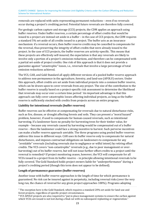removals are replaced with units representing permanent reductions – even if no reversals occur during a project's crediting period. Potential future reversals are therefore fully covered.

For geologic carbon capture and storage (CCS) projects, the CDM applies an approach using buffer reserves. Under buffer reserves, a certain percentage of offset credits that would be issued to a project are instead set aside in a buffer – in the case of CCS projects, the CDM requires a standard 5% set-aside of all credits issued to a project. The buffer acts as an insurance mechanism: if a reversal occurs, then buffer reserve credits may be cancelled to compensate for the reversal, thus preserving the integrity of offset credits that were already issued to the project. In the case of CCS projects, the buffer reserves are activity-specific. This means that these projects are effectively self-insured; the expectation is that any reversals are likely to involve only a portion of a project's emission reductions, and therefore can be compensated with a partial set-aside of project credits. One risk of this approach is that it does not provide a guarantee against "catastrophic" losses, i.e., reversals that involve a large percentage of total emission reductions achieved.

<span id="page-22-2"></span>The VCS, CAR, and Gold Standard all apply different versions of a pooled buffer reserve approach to address non-permanence in the agriculture, forestry, and land-use (AFOLU) sectors. Under this approach, offset credits are set aside from individual projects into a common buffer reserve, which can be drawn upon to cover reversals from any project. The size of the contribution to the buffer reserve is usually based on a project-specific [r](#page-22-0)isk assessment to determine the likelihood that reversals may occur over a certain time period.7 An important advantage is that this approach can fully cover catastrophic losses affecting individual projects, as long as the buffer reserve is sufficiently stocked with credits from projects across an entire program.

## **Liability for intentional reversals (buffer reserves)**

Buffer reserves can be effective at compensating for reversals due to natural disturbance risks, such as fire, disease, or drought affecting forests and soils. They can present a "moral hazard" problem, however, if used to compensate for human-caused reversals, such as intentional harvesting. If a landowner faces no penalty for harvesting trees for their timber value, for example – because any reversals caused by harvesting would be compensated out of a buffer reserve – then the landowner could face a strong incentive to harvest. Such perverse incentives can make a buffer reserve approach unviable. The three programs using pooled buffer reserves address this issue in different ways. CAR uses its buffer reserve only to compensate for natural disturbances, and imposes contractual obligations on landowners to compensate for any "avoidable" reversals (including reversals due to negligence or wilful intent) by retiring offset credits. The VCS covers "non-catastrophic" reversals (e.g., due to poor management or overharvesting) out of its [b](#page-22-1)uffer reserve, but will not issue further offset credits to a project until the reversal is remedied.8 If project monitoring ceases, however, the VCS will compensate for all VCUs issued to a project from its buffer reserve – in principle allowing intentional reversals to be fully covered. The Gold Standard holds project owners liable for "underperformance" during a project's crediting period (though this term does not appear to be defined).

## <span id="page-22-3"></span>**Length of permanence guarantee (buffer reserves)**

Another issue with buffer reserve approaches is the length of time for which permanence is guaranteed. No risk can be insured against in perpetuity, including reversal risks (over the very long run, the chance of reversal for any given project approaches 100%). Programs adopting

<span id="page-22-1"></span><span id="page-22-0"></span><sup>7</sup> The exception here is the Gold Standard, which requires a standard 20% set-aside for land-use and [fo](#page-22-3)rest projects, regardless of specific project circumstances.

<sup>8</sup> VCS AFOLU projects are also required to "put in place management systems to ensure the carbon against which VCUs are issued is not lost during a final cut with no subsequent replanting or regeneration."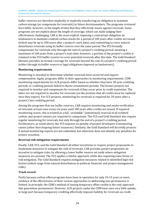buffer reserves are therefore implicitly or explicitly transferring an obligation to maintain carbon storage (or compensate for reversals) to future decisionmakers. The programs reviewed here differ, however, in the length of time that they effectively insure against reversals. Some programs are not explicit about the length of coverage, which can make judging their effectiveness challenging. CAR is the most explicit, imposing a contractual obligation on landowners to maintain credited carbon stocks for a period of 100 years after credits are issued (which may be up to 200 years after a project's start date), and committing to cover natural disturbance reversals using its buffer reserve over the same period. The VCS formally compensates for reversals only through the end of a project's crediting period, meaning a maximum of 100 years from a project's start date; however, a portion of the project's credits is retained in the VCS buffer reserve to cover potential reversals after this date. The Gold Standard likewise provides no formal coverage for reversals beyond the end of a project's crediting period (either through its buffer reserve or legal obligations imposed on landowners).

### **Monitoring requirements**

Monitoring is essential to determine whether reversals have occurred and require compensation. Again, programs differ in their approaches to monitoring requirements. CDM monitoring requirements for A/R projects differ based on whether they have 30-year crediting periods, or crediting periods linked to Kyoto commitment periods. The former projects are required to monitor and compensate for reversals if they occur prior to credit expiration. The latter are not required to monitor for reversals (on the premise that all credits must be replaced once they expire). For CCS projects, monitoring for reversals is required for 20 years after a project's last crediting period.

Among the programs that use buffer reserves, CAR requires monitoring and onsite verification of reversals at least once every six years until 100 years after credits are issued. If required monitoring ceases, this is treated as a full, "avoidable" (intentional) reversal of all credited carbon, and project owners are required to compensate. The VCS and Gold Standard also require regular monitoring for reversals, but only through the end of a project's crediting period. Furthermore, as noted above, the VCS imposes no penalty of project developers if monitoring ceases (other than forgoing future issuances). Similarly, the Gold Standard will decertify projects if annual monitoring reports are not submitted, but otherwise does not identify any penalties for project cessation.

#### **Reversal risk mitigation requirements**

Finally, CAR, VCS, and the Gold Standard all either incentivize or require project proponents to implement measures to mitigate the risk of reversals. CAR provides project proponents an incentive to mitigate risks, by allowing a lower buffer reserve set aside where mitigation measures are present. The VCS applies a similar approach, while also requiring some forms of risk mitigation. The Gold Standard requires mitigation measures related to identified high risk factors (which range from natural disturbances to political, financial, and project management risks).

## **Track record**

Partly because carbon offset programs have been in operation for only 10-15 years at most, evidence of the effectiveness of their various approaches to addressing non-permanence is limited. In principle, the CDM's method of issuing temporary offset credits is the only approach that guarantees permanence. However, A/R projects under the CDM have seen very little uptake, in large part because temporary crediting effectively imposes liability for reversals on credit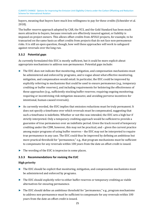buyers, meaning that buyers have much less willingness to pay for these credits (Schneider et al. 2018).

The buffer reserve approach adopted by CAR, the VCS, and the Gold Standard has been much more attractive to buyers, because reversals are effectively insured against, or liability is imposed on project owners. This allows offset credits from AFOLU projects, for example, to be transacted on the same basis as offset credits from projects that do not face non-permanence risks. It is still an open question, though, how well these approaches will work to safeguard against reversals over the long run.

## <span id="page-24-0"></span>**3.3.2 Potential gaps**

As currently formulated this EUC is mostly sufficient, but it could be more explicit about appropriate mechanisms to address non-permanence. Potential gaps include:

- ► The EUC does not indicate that monitoring, mitigation, and compensation mechanisms must be administered and enforced by programs, and is vague about what effective monitoring, mitigation, and compensation would entail. In particular, the EUC could be improved by explicitly referring to mechanisms that could be used to ensure permanence (e.g., temporary crediting or buffer reserves), and including requirements for bolstering the effectiveness of these approaches (e.g., sufficiently stocking buffer reserves; requiring ongoing monitoring; requiring or incentivizing risk mitigation measures; and avoiding perverse incentives for intentional, human-caused reversals).
- ► As currently worded, the EUC implies that emission reductions must be truly permanent. It does not specify a timeframe over which reversals must be compensated, suggesting that such a timeframe is indefinite. Whether or not this was intended, the EUC sets a high bar if strictly interpreted. Only a temporary crediting approach would be sufficient to provide a guarantee of true permanence over an indefinite period. Given the track record of temporary crediting under the CDM, however, this may not be practical, and – given the current practice among major programs of using buffer reserves – the EUC may not be interpreted to require true permanence in any case. The EUC could thus be improved by defining an ambitious but more practical threshold for "permanence," e.g., that program mechanisms must be sufficient to compensate for any reversals within 100 years from the date an offset credit is issued.
- ► The wording of the EUC is imprecise in some places.

## <span id="page-24-1"></span>**3.3.3 Recommendations for revising the EUC**

#### **High priority**

- ► The EUC should be explicit that monitoring, mitigation, and compensation mechanisms must be administered and enforced by programs.
- ► The EUC should explicitly refer to either buffer reserves or temporary crediting as viable alternatives for ensuring permanence.
- ► The EUC should define an ambitious threshold for "permanence," e.g., program mechanisms to address non-permanence must be sufficient to compensate for any reversals within 100 years from the date an offset credit is issued.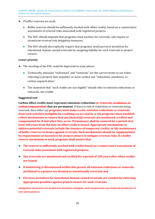#### ► If buffer reserves are used:

- Buffer reserves should be sufficiently stocked with offset credits, based on a conservative assessment of reversal risks associated with registered projects.
- The EUC should stipulate that programs must monitor for reversals, and require or incentivize reversal risk mitigation measures.
- The EUC should also explicitly require that programs avoid perverse incentives for intentional, human-caused reversals by assigning liability for such reversals to project owners.

#### **Lower priority**

- ► The wording of the EUC could be improved in some places:
	- Technically, emission "reductions" and "removals" are the correct terms to use when referring to projects that sequester or store carbon, not "reductions, avoidance, or carbon sequestration."
	- The statement that "such credits are not eligible" should refer to emission reductions or removals, not credits.

#### **Suggested text**

**Carbon offset credits must represent emissions reductions or removals, avoidance, or carbon sequestration that are permanent**. If there is risk of reductions or removals being reversed, then either (a) **programs must make** credits **emission reductions or removals from such activities ineligible for crediting** are not eligible or **(b) programs must establish robust mechanisms to ensure that any [material] reversals are monitored, verified and compensated for if and when they occur. Permanence shall be ensured for a period of at least 100 years from the date an offset credit is issued. Appropriate mechanisms to address potential reversals include the issuance of temporary credits, or the maintenance of buffer reserves to insure against reversals. Such mechanisms should be supplemented by requirements or incentives for project owners to mitigate reversal risks. If a buffer reserve mechanism is used, programs shall ensure that:** 

- ► **The reserve is sufficiently stocked with credits based on a conservative assessment of reversal risks associated with registered projects;**
- ► **Any reversals are monitored and verified for a period of 100 years after offset credits are issued;**
- ► **If monitoring is discontinued within this period, all emission reductions or removals attributed to a project are deemed as intentionally reversed; and**
- ► **Perverse incentives for intentional, human-caused reversals are avoided by enforcing appropriate penalties against project owners for such reversals.**

mitigation measures are in place to monitor, mitigate, and compensate any material incidence of non-permanence.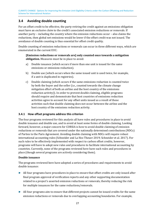## <span id="page-26-0"></span>**3.4 Avoiding double counting**

For an offset credit to be effective, the party retiring the credit against an emissions obligation must have an *exclusive claim* to the credit's associated emission reductions or removals. If another party – including the country where the emission reductions occur – also claims the reductions, then global net emissions would be lower if the offset credit was not issued. The avoidance of double counting is thus essential for offset credit quality.

Double counting of emission reductions or removals can occur in three different ways, which are enumerated in the current EUC:

#### **[Emission reductions or removals are] only counted once towards a mitigation obligation.** Measures must be in place to avoid:

- a) Double issuance (which occurs if more than one unit is issued for the same emissions or emissions reduction).
- b) Double use (which occurs when the same issued unit is used twice, for example, if a unit is duplicated in registries).
- c) Double claiming (which occurs if the same emissions reduction is counted twice by both the buyer and the seller (i.e., counted towards the climate change mitigation effort of both an airline and the host country of the emissions reduction activity)). In order to prevent double claiming, eligible programs should require and demonstrate that host countries of emissions reduction activities agree to account for any offset units issued as a result of those activities such that double claiming does not occur between the airline and the host country of the emissions reduction activity.

#### <span id="page-26-1"></span>**3.4.1 How offset programs address this criterion**

The four programs reviewed for this analysis all have rules and procedures in place to avoid double issuance and double use, and to avoid at least some forms of double claiming. Looking forward, however, a major concern for CORSIA is how to avoid double claiming of emission reductions or removals that are covered under the nationally determined contributions (NDCs) of Parties to the Paris Agreement. Avoiding double claiming with NDCs will require robust international accounting rules (Schneider and La Hoz Theuer 2019; Schneider et al. 2017). For such rules to be effectively implemented with respect to carbon offset credits, however, programs will have to adopt new rules and procedures to facilitate international accounting by countries. Currently, none of the programs reviewed here have such rules and procedures in place (though several programs are actively considering them).

#### **Double issuance**

The programs reviewed here have adopted a series of procedures and requirements to avoid double issuance:

- ► All four programs have procedures in place to ensure that offset credits are only issued after final program approval of verification reports and any other supporting documentation related to a project's asserted emission reductions or removals, thereby reducing the risk for multiple issuances for the same reductions/removals.
- ► All four programs aim to ensure that different projects cannot be issued credits for the same emission reductions or removals due to overlapping accounting boundaries. For example,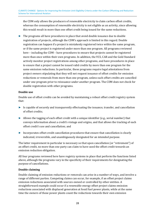the CDM only allows the producers of renewable electricity to claim carbon offset credits, whereas the consumption of renewable electricity is not eligible as an activity, since allowing this would result in more than one offset credit being issued for the same reductions.

► The programs all have procedures in place that avoid double issuance due to double registration of projects, although the CDM's approach is limited in this regard. Double registration can happen if a project is mistakenly registered twice within the same program, or if the same project is registered under more than one program. All programs reviewed here – including the CDM – have procedures to ensure that projects cannot be registered more than once within their own programs. In addition, the VCS, CAR and the Gold Standard actively monitor project registrations among other programs, and have procedures in place to ensure that a project cannot be issued valid credits by more than one program for the same emission reductions. In particular, these programs require legal attestations from project owners stipulating that they will not request issuance of offset credits for emission reductions or removals from more than one program, unless such offset credits are cancelled under one program prior to reissuance under another program. The CDM does not check for double registration with other programs.

### **Double use**

Double use of offset credits can be avoided by maintaining a robust offset credit registry system that:

- ► Is capable of securely and transparently effectuating the issuance, transfer, and cancellation of offset credits;
- ► Allows the tagging of each offset credit with a unique identifier (e.g., serial number) that conveys information about a credit's vintage and origins, and that allows the tracking of each offset credit's use and cancellation; and
- ► Incorporates offset credit cancellation procedures that ensure that cancellation is clearly indicated, irreversible, and unambiguously designated for an intended purpose.

The latter requirement in particular is necessary so that upon cancellation (or "retirement") of an offset credit, no more than one party can claim to have used the offset credit towards an emission reduction obligation.

All four programs reviewed here have registry systems in place that perform the functions listed above, although the programs vary in the specificity of their requirements for designating the purpose of cancellations.

## **Double claiming**

Double claiming of emission reductions or removals can arise in a number of ways, and involve a range of different parties. Competing claims can occur, for example, if an offset project claims emission reductions associated with sources owned or controlled by other entities. A straightforward example could occur if a renewable energy offset project claims emission reductions associated with displaced generation at fossil fuel power plants, while at the same time the owners of those power plants count the reductions towards their own emission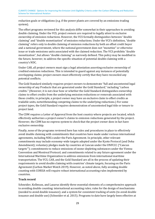reduction goals or obligations (e.g. if the power plants are covered by an emissions trading system).

The offset programs reviewed for this analysis differ somewhat in their approaches to avoiding double claiming. Under the VCS, project owners are required to legally attest to exclusive ownership of emission reductions. However, the VCS formally distinguishes between "double claiming" and "double monetization" of emission reductions. Under the VCS's definition, "double claiming" refers only to double claiming of emission reductions by both an offset credit buyer and a national government, where the national government does not "monetize" or otherwise issue or trade emissions units associated with the claimed reduction. The VCS prohibits "double monetization", but allows "double claiming" as narrowly defined. This policy may be modified in the future, however, to address the specific situation of potential double claiming with a country's NDC.

Under CAR, all project owners must sign a legal attestation asserting exclusive ownership of credited emission reductions. This is intended to guard against any instances of potentially overlapping claims; project owners must effectively certify that they have reconciled any potential conflicts.

The Gold Standard similarly requires project owners to demonstrate "full and uncontested legal ownership of any Products that are generated under the Gold Standard," including "carbon credits." (However, it is not clear how or whether the Gold Standard distinguishes ownership claims to offset credits from the underlying emission reductions or removals associated with those credits; in principle, a project owner may have an exclusive claim to offset credits as tradable units, notwithstanding competing claims to the underlying reductions.) For some project types, the Gold Standard requires demonstration of uncontested legal title or tenure to project land.

The CDM requires a Letter of Approval from the host country where projects are located, which effectively authorizes a project owner's claims to emission reductions generated by the project. However, the CDM has no express system to check that the project owner does in fact have exclusive ownership.

Finally, none of the programs reviewed here has rules and procedures in place to effectively avoid double claiming with commitments that countries have made under various international agreements, including NDCs under the Paris Agreement. In principle, other relevant commitments may include economy-wide targets adopted under the Kyoto Protocol (and Doha Amendment); voluntary pledges made by countries at Cancun under the UNFCCC ("Cancun targets'"); commitments to reduce emissions of ozone-depleting substances under the Vienna Convention and Montreal Protocol; and commitments related to any future agreement under the International Maritime Organization to address emissions from international maritime transportation. The VCS, CAR, and the Gold Standard are all in the process of updating their requirements to avoid double claiming with countries' climate targets, focusing on the Paris Agreement (Carbon Market Watch 2019). However, as noted above, fully avoiding double counting with CORSIA will require robust international accounting rules implemented by countries.

## **Track record**

Schneider, Kollmuss, and Lazarus identify three essential elements of a comprehensive approach to avoiding double counting: international accounting rules; rules for the design of mechanisms (needed to avoid double issuance); and a system for consistent tracking of units (to avoid double issuance and double use) (Schneider et al. 2015). Programs to date have largely been effective at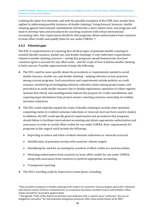<span id="page-29-3"></span>realizing the latter two elements, and with the possible exc[ep](#page-29-1)tion of the CDM, have mostly been vigilant in addressing possible instances of double claiming.<sup>9</sup> Going forward, however, double claiming against international commitments will become a more salient issue, and programs will need to develop rules and procedures for assisting countries with robust international accounting rules. One requirement should be that programs o[bt](#page-29-2)ain authorization from countries to issue offset credits and qualify them for use under CORSIA. <sup>10</sup>

## <span id="page-29-4"></span><span id="page-29-0"></span>**3.4.2 Potential gaps**

The EUC is comprehensive in requiring that all three types of potential double counting be avoided (double issuance, double use, and double claiming). It only elaborates requirements related to double claiming, however – noting that programs should demonstrate that host countries agree to account for any offset units – and the scope of how it defines double claiming is fairly narrow. Possible improvements include the following:

- ► The EUC could be more specific about the procedures or requirements needed to avoid double issuance, double use, and double claiming – making reference to best practices among current programs. Such procedures and requirements include policies on credit issuance, monitoring of overlapping emission reduction claims among project types, and procedures to avoid double issuance due to double registration; operation of robust registry systems that clearly and unambiguously indicate the purpose for credit cancellations; and requiring legal attestations from project owners asserting exclusive ownership of credited emission reductions.
- ► The EUC could explicitly expand the scope of double claiming to include other potential competing claims to credited emission reductions or removals (not just host country claims). In addition, the EUC could specify general requirements and procedures that programs should follow to facilitate international accounting and obtain appropriate authorization and assurances in order to certify offset credits for use under CORSIA. Basic requirements for programs in this regard could include the following:
	- Reporting on where and when credited emission reductions or removals occurred
	- Identification of potential overlap with countries' climate targets
	- Identifying the need for accounting by countries if offset credits are used by airlines
	- Obtaining authorization from countries to issue offset credits for use under CORSIA, along with assurances from countries to perform appropriate accounting
	- Transparent reporting
- ► The EUC's wording could be improved in some places, including:

<span id="page-29-1"></span><sup>9</sup> One possible exception is double claiming with respect to countries' Cancun targets; given the voluntary [a](#page-29-3)nd interim nature of these commitments, no consensus has been reached on how and whether offset [cl](#page-29-4)aims should be reconciled against them.

<span id="page-29-2"></span> $10$  Paragraph 77(d) of the Katowice decision text indicates that a country may "authorize" the use of mitigation outcomes "for international mitigation purposes other than achievement of its NDC."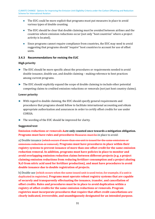- The EUC could be more explicit that programs must put measures in place to avoid various types of double counting.
- The EUC should be clear that double claiming must be avoided between airlines and the countries where emission reductions occur (not only "host countries" where a project activity is located).
- Since programs cannot require compliance from countries, the EUC may need to avoid suggesting that programs should "require" host countries to account for use of offset units.

### <span id="page-30-0"></span>**3.4.3 Recommendations for revising the EUC**

#### **High priority**

- ► The EUC should be more specific about the procedures or requirements needed to avoid double issuance, double use, and double claiming – making reference to best practices among current programs.
- ► The EUC should explicitly expand the scope of double claiming to include other potential competing claims to credited emission reductions or removals (not just host country claims).

#### **Lower priority**

- ► With regard to double claiming, the EUC should specify general requirements and procedures that programs should follow to facilitate international accounting and obtain appropriate authorization and assurances in order to certify offset credits for use under CORSIA.
- ► The wording of the EUC should be improved for clarity.

#### **Suggested text**

**Emission reductions or removals Aare only counted once towards a mitigation obligation. Programs must have rules and procedures Measures must be in place to avoid:** 

a) Double issuance (which occurs if more than one unit is issued for the same emissions or emissions reduction or removal). **Programs must have procedures in place within their registry systems to prevent issuance of more than one offset credit for the same emission reduction removal. In addition, programs must have policies in place to monitor and avoid overlapping emission reduction claims between different projects (e.g. a project claiming emission reductions from reducing fertilizer consumption and a project abating N2O from nitric acid used for fertilizer production), and must have procedures to avoid double issuance due to double registration of projects.** 

b) Double use <del>(which occurs when the same issued unit is used twice, for example, if a unit is</del> duplicated in registries). **Programs must operate robust registry systems that are capable of securely and transparently effectuating the issuance, transfer, and cancellation of offset credits. Rules and procedures must be in place to avoid duplication within a registry of offset credits for the same emission reductions or removals. Program registries must incorporate procedures that require that offset credit cancellations are clearly indicated, irreversible, and unambiguously designated for an intended purpose.**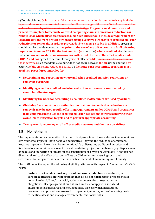c) Double claiming (which occurs if the same emissions reduction is counted twice by both the buyer and the seller (i.e., counted towards the climate change mitigation effort of both an airline and the host country of the emissions reduction activity)). **Programs must have rules and procedures in place to reconcile or avoid competing claims to emissions reductions or removals for which offset credits are issued. Such rules should include a requirement for legal attestations from project owners asserting exclusive ownership of credited emission reductions or removals.** In order to prevent double claiming, eligible **In addition,** programs should require and demonstrate **that, prior to the use of any offset credits to fulfil offsetting requirements under CORSIA, the** host **country (or** countries**) where credited** of emissions reduction**s or removals occur** activities **has authorized the use of the offset credits under CORSIA and has** agreed to account for any **use of** offset **credits,** units issued for as a result of those activities such that double claiming does not occur between the **an** airline and the host country. of the emissions reduction activity To **facilitate such accounting, programs must establish procedures and rules for:** 

- ► **Determining and reporting on where and when credited emission reductions or removals occurred;**
- ► **Identifying whether credited emission reductions or removals are covered by countries' climate targets**
- ► **Identifying the need for accounting by countries if offset units are used by airlines;**
- ► **Obtaining from countries an authorization that credited emission reductions or removals may be used to fulfil offsetting requirements under CORSIA and assurances from countries not to use the credited emission reductions towards achieving their own climate mitigation targets and to perform appropriate accounting;**
- ► **Transparently reporting on all offset credit issuances and their use by airlines.**

## <span id="page-31-0"></span>**3.5 No net-harm**

The implementation and operation of carbon offset projects can have wider socio-economic and environmental impacts – both positive and negative – beyond the reduction of emissions. Negative impacts or 'harms' can be unintentional (e.g. disrupting traditional practices and livelihood of communities as a result of an afforestation project) or deliberate (e.g. displacement of people and inundation of forests for the construction of a hydro power plant). Although not directly related to the effect of carbon offsets on GHG emissions, ensuring social and environmental safeguards is nevertheless a critical element of maintaining credit quality.

The ICAO Council adopted the following eligibility criterion with respect to 'no net-harm' (ICAO 2019):

**Carbon offset credits must represent emissions reductions, avoidance, or carbon sequestration from projects that do no net harm.** Offset projects should not violate local, State/provincial, national or international regulations or obligations. Offset programs should show how they comply with social and environmental safeguards and should publicly disclose which institutions, processes, and procedures are used to implement, monitor, and enforce safeguards to identify, assess and manage environmental and social risks.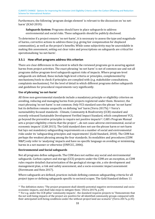Furthermore, the following 'program design element' is relevant to the discussion on 'no netharm' (ICAO 2019):

**Safeguards System:** Programs should have in place safeguards to address environmental and social risks. These safeguards should be publicly disclosed.

To determine if a project ensures 'no net-harm', it is necessary to assess the type and magnitude of harms, corrective actions to address these (e.g. giving fair compensation for displaced communities), as well as the project's benefits. While some subjectivity may be unavoidable in making this assessment, setting out clear rules and prescriptions on safeguards are critical for operationalising 'no net-harm'.

## <span id="page-32-0"></span>**3.5.1 How offset programs address this criterion**

There are clear differences in the extent to which the reviewed programs go in assuring against harms from project activities. The exact phrasing 'no net harm' is not of common use and not all programs define program-level safeguards against risks of impacts. Where program-level safeguards are defined, these include high-level criteria or principles, complemented by mechanisms/tools to check if principles are complied with (e.g. stakeholder consultations, complaints mechanisms). Yet the level of detail in which different programs define safeguards and guidelines for procedural requirements vary significantly.

## **Use of phrasing 'no net-harm'**

<span id="page-32-4"></span><span id="page-32-3"></span>All three non-governmental standards include a mandatory principle or eligibility criterion on avoiding, reducing and managing harms from projects registered under them. However, the exact phrasing 'no net harm' is not common. Only VCS standard uses the p[hr](#page-32-1)ase 'no net harm' but its definition remains unspecific on defining 'net' harm (Verra 2017b).11 Verra's sustainability focused standards - Climate, Community & Biodiversity (CCB) standard and recently released Sustainable Development Verified Impact Standa[rd](#page-32-2), which complement VCS, go beyond the preventive principles to require net positive impacts12. CAR's Program Manual sets a project eligibility criteria that the project '…do not cause adverse environmental, social or economic impacts' (CAR 2015). The Gold standard does not use the phrase harm or net-harm but lays out mandatory safeguarding requirements on a number of social and environmental risks under its 'safeguarding principles and requirements' (Gold Standard, 2018). The CDM has perhaps the weakest phrasing among the four standards. Its modalities and procedures (CDM M&P) only refer to 'analysing' impacts and have no specific language on avoiding or minimising harms in a net manner or otherwise (UNFCCC, 2006).

## **Environmental and Social safeguards**

Not all programs define safeguards. The CDM does not outline any social and environmental safeguards. Carbon capture and storage (CCS) projects under the CDM are an exception, as CDM rules require detailed characterization of the geological storage site, a site development and management plan, a risk and safety assessment, and a socio-economic impact assessment (Horstmann and Hein 2017).

Where safeguards are defined, practices include defining common safeguarding criteria for all project types or defining safeguards specific to sectoral scopes. The Gold Standard defines 11

<span id="page-32-2"></span><span id="page-32-1"></span><sup>11</sup> The definition states: 'The project proponent shall identify potential negative environmental and socio[ec](#page-32-4)onomic impacts, and shall take steps to mitigate them.' (Verra 2017b, p.24)

<sup>&</sup>lt;sup>12</sup> For e.g. under the CCB pillar 'community impacts', the standard requires projects to "Demonstrate that the net well-being impacts of the project are positive for all identified community groups compared with their anticipated well-being conditions under the without-project land use scenario" (Verra 2017a, p.35)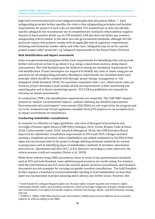<span id="page-33-2"></span>high-level environmental and social safeguard principles that all projects follow. <sup>13</sup> Each safeguarding principle further specifies the risks to that safeguarding principles [an](#page-33-0)d detailed requirements for projects if such risks are identified. VCS standard per se does not identify specific safeguards but recommends use of complementary standards which address negative impacts in much greater detail, e.g. its CCB standard. CAR also does not define any common safeguarding criteria similar to the other two non-governmental standards, although All CAR protocols require that projects comply with all applicable laws & regulatory requirements, including environmental, worker safety, and other laws. Safeguards may be set for specific project scopes called 'protocols', e.g. safeguard requirements in the Forest Project Protocol.

### **Risk identification and impact assessment**

Some non-governmental programs define clear requirements for identifying risks and provide further instructions on how to go about it (e.g. using a causal chain analysis, doing impact assessments). The Gold Standard goes the farthest in setting out mandatory requirements for risk identification. Project developers are required to identify key risks or issues using pre-set questions for all safeguarding principles. Mandatory requirements are identified under each principle which should be complied with through 'project design, management or risk mitigation' (Gold Standard, 2018). For questions responded with a 'yes', which means risks are foreseen, project developers must include all laid out requirements in their monitoring and reporting plan and in future monitoring reports. VCS-CCB has published own manuals for carrying out impact assessments.

<span id="page-33-3"></span>In comparison, CDM's risk identification requirements are unspecific. The CDM M&P requires projects to 'analyze' environmen[ta](#page-33-1)l impacts , without outlining any detailed requirements. Environmental and social impact<sup>14</sup> assessments (EIA/SEIA) are not required by the program and are to be conducted only if local regulations mandate them (CCS projects are an exception here, as impact assessments are mandatory).

#### **Conducting stakeholder consultations**

In response to criticisms on vague guidelines, and cases of disregard of procedures and oversight of human rights abuses (CDM Policy Dialogue, 2012; Verles, Braden, Taibi, & Olsen, 2018; Carbon market watch, 2018; Schade & Obergassel, 2014), the CDM Executive Board improved its stakeholder consultation requirements in 2014 and 2015. Changes included starting a complaints procedure where stakeholders can submit complaints to the DNA if their input was not incorporated in the project's design, defining minimum standards for various scoping issues such as identifying types of stakeholders, methods of invitation, information provision etc. (Horstmann and Hein 2017, p.43). However, according to some observers, the reform process is still not complete (Verles et al., 2018).

While these reforms bring CDM's procedures closer to those of non-governmental standards such as VCS and Gold Standard, some additional good practices are worth noting. For instance, both the Gold Standard and VCS stress the need for gender inclusive consultations and standard documents provide examples for carrying out gender sensitive consultations. The Gold Standard further requires a mandatory second stakeholder meeting to brief stakeholders on how their input was incorporated in project planning and to discuss any further issues. However, this

<span id="page-33-0"></span><sup>13</sup> Gold Standard's safeguarding principles are: Human rights; Gender equality and women's rights; [Co](#page-33-2)mmunity health; Safety and working conditions; Cultural heritage; Indigenous peoples, displacement and resettlement; Corruption; Economic Impacts; Climate and Energy; Water; and Environment, ecology [an](#page-33-3)d soil.

<span id="page-33-1"></span><sup>14</sup> (UNFCCC, 2006). CDM Afforestation and reforestation (A&R) projects must address socio-economic impacts as well according to the M&P.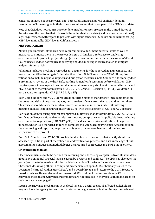consultation need not be a physical one. Both Gold Standard and VCS explicitly demand recognition of human rights in their rules, a requirement that is not part of the CDM's mandate.

Note that CAR does not require stakeholder consultations for projects in the United States of America – on the premise that this would be redundant with state (and in some cases national) legal requirements with regard to projects with significant social & environmental impacts (e.g., NEPA law nationally, CEQA law in California, etc.)

## **MRV requirements**

All non-governmental standards have requirements to document potential risks as well as measures to mitigate them in the project design. CDM makes a reference to 'analysing environmental impacts' in project design (also socio-economic impacts in the case of A&R and CCS projects), it does not require identifying and documenting measures taken to mitigate and/or minimise risks.

Validation includes checking project design documents for the reported negative impacts and measures identified to mitigate/minimize them. Both Gold Standard and VCS-CCB require validation to include negative impacts and mitigation measures. Gold Standard additionally does a preliminary review of the draft Safeguarding Principles Assessment before validation. CDM requires project developers to submit documentation on analysis of environmental impacts and EIA (if done) to the validators (para 37 c, CDM M&P, Annex - Decision 3/CMP.1). Validation is not a separate step under CAR (CAR 2017, p.15).

Both Gold Standard and VCS-CCB require monitoring plans to mandatorily include updates on the costs and risks of negative impacts; and a review of measures taken to avoid or limit them. This review should clarify the relative success or failure of measures taken. Monitoring of negative impacts is not required under the CDM (with the exception of A&R and CCS projects).

Verification of monitoring reports by approved auditors is mandatory under GS, VCS-CCB. CAR's Verification Program Manual only refers to checking compliance with applicable laws, including environmental regulations (CAR 2017, p.35). CDM does not require verification of negative impacts. Under Gold Standard, failure to complete the Safeguarding Principles Assessment and the monitoring and reporting requirements is seen as a non-conformity and can lead to suspension of the project.

Both Gold Standard and VCS-CCB provide detailed instructions as to what exactly should be assessed by DOEs as part of the validation and verification process, and lists knowledge of risk assessment techniques and methodologies as a required competence in a DOE among others.

## **Grievance mechanism**

Clear mechanisms should be defined for receiving and addressing complaints from stakeholders about environmental or social harms caused by projects and conflicts. The CDM has also over the years (and due to increasing criticism) added a couple of interfaces for receiving grievances. These include, among others, a complaint mechanism set up in 2015 submit any issues to the Designated National Authorities (DNAs), and a possibility to send letters to the CDM Executive Board which are then addressed and answered. We could not find information on CAR's grievance mechanism. G[rie](#page-34-0)vances/complaints are not included in the various thematic areas on their contact us webpage15.

<span id="page-34-1"></span>Setting up grievance mechanisms at the local level is a useful tool as all affected stakeholders may not have the agency to reach out to international governance bodies. Among the reviewed

<span id="page-34-0"></span>[<sup>15</sup>](#page-34-1) as of 28th March 2019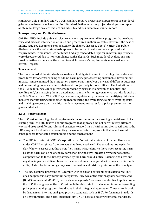standards, Gold Standard and VCS-CCB standard require project developers to set project-level grievance redressal mechanisms. Gold Standard further requires project developers to report on all stakeholder grievances and actions taken to address them in an annual report.

#### **Transparency and Public disclosure**

CORSIA's EUCs include public disclosure as a key requirement. All four programs that we have reviewed disclose information on rules and procedures on their websites. However, the ease of finding required documents (e.g. related to the themes discussed above) varies. The public disclosure practices of all standards appear to be limited to substantive and procedural requirements. For instance, we could not find any consolidated reports on how many projects were deregistered due to non-compliance with safeguards. Such meta-level evaluations can provide further evidence on the extent to which program's requirements safeguard against harmful impacts.

### **Track record**

The track record of the standards we reviewed highlights the merit of defining clear rules and procedures for operationalizing the do no harm principle. Assessing sustainable development impacts is more nuanced than mitigation outcomes as it involves a myriad of different outcomes and determining cause and effect relationships objectively is more difficult. The limitations of the CDM in defining clear requirements for identifying risks (along with co-benefits) and avoiding and/or managing them created in part a niche for non-governmental standards such as the Gold Standard and VCS CCB. They have set very detailed processes for identifying risks in an inclusive manner using stakeholder input, monitoring and evaluating claims of avoiding risks, and tracking progress on risk mitigation/management measures for a price premium on the generated offsets.

## <span id="page-35-0"></span>**3.5.2 Potential gaps**

The EUC text sets out high level requirements for setting rules for ensuring no net-harm. In its existing form, the EUC text will admit programs that approach 'no net harm' in very different ways and propose different rules and practices to avoid harm. Without further specification, the EUCs may not be effective in preventing the use of offsets from projects that have harmful consequences for affected stakeholders and the environment.

- ► The EUC text sets out CORSIA's aspiration that "offset units intended for compliance use under CORSIA originate from projects that do no net-harm". The text does not explicitly clarify how to assess that there is no 'net' harm, what tolerance there is for accepting harm i.e. if the harm can be balanced by corresponding positive impacts or whether adequate compensation to those directly affected by the harm would suffice. Balancing positive and negative impacts is difficult because these are often not comparable (i.e. measured in similar units). A simpler terminology may avoid confusion and misinterpretation of the principle.
- ► The EUC requires programs to "…comply with social and environmental safeguards" but does not prescribe any minimum safeguards. Only two of the four programs we reviewed (Gold Standard and VCS-CCB) define clear safeguards. To ensure standardised application of the EUC, the language of the EUC text could be elaborated to include minimum safeguarding principles that all programs should have in their safeguarding systems. These criteria could be drawn from international good practice standards such as IFC's Performance Standards on Environmental and Social Sustainability, UNDP's social and environmental standards,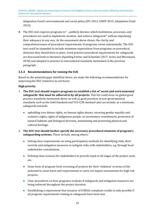Adaptation Fund's environmental and social policy (IFC 2012; UNDP 2015; Adaptation Fund 2013).

► The EUC text requires programs to "…publicly disclose which institutions, processes, and procedures are used to implement, monitor, and enforce safeguards" without stipulating their adequacy in any way. As the assessment above shows, the clarity and comprehensiveness of procedural requirements of programs varies substantially. The EUC text could be expanded to include minimum expectations from programs on procedural elements they should have in place. Good practice procedural requirements for safeguards are discussed both in literature (Spalding Fecher and Schneider 2017; Arens and Mersmann 2018) and adopted in practice in international standards mentioned in the previous paragraph.

## <span id="page-36-0"></span>**3.5.3 Recommendations for revising the EUC**

Based on the potential gaps identified above, we make the following recommendations for improving the EUC related to no net harm:

## **High priority**

- 1. **The EUC text should require programs to establish a list of 'social and environmental safeguards' that must be adhered to by all projects.** This list could draw on global good practice standards mentioned above as well as good practices in non-governmental standards such as the Gold Standard and VCS-CCB standard and can include, as a minimum, safeguards towards:
	- upholding core labour rights, no human rights abuses, ensuring gender equality and women's rights, rights of indigenous people, no involuntary resettlement, protection of natural habitats and biological diversity, maintaining and protecting physical and cultural heritage.
- 2. **The EUC text should further specify the necessary procedural elements of program's safeguarding systems.** These include, among others:
	- Setting clear requirements on using participatory methods for identifying risks, their severity and mitigation measures to mitigate risks with stakeholders, e.g. through local stakeholder consultations.
	- Defining clear avenues for stakeholders to provide input at all stages of the project cycle, etc.
	- Some form of program-level screening of projects for their 'riskiness' in terms of the potential to cause harm and requirements to carry out impact assessments for high risk projects.
	- Clear procedures on how programs evaluate if safeguards and mitigation measures are being enforced throughout the project duration.
	- Establishing a requirement that issuance of CORSIA compliant credits is only possible if all program requirements relating to safeguards have been met.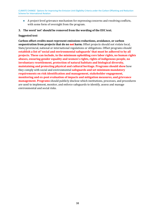- A project-level grievance mechanism for expressing concerns and resolving conflicts, with some form of oversight from the program.
- **3. The word 'net' should be removed from the wording of the EUC text.**

#### **Suggested text**

**Carbon offset credits must represent emissions reductions, avoidance, or carbon sequestration from projects that do no net harm.** Offset projects should not violate local, State/provincial, national or international regulations or obligations. Offset programs should **establish a list of 'social and environmental safeguards' that must be adhered to by all projects. These can include, in the minimum upholding core labor rights, no human rights abuses, ensuring gender equality and women's rights, rights of indigenous people, no involuntary resettlement, protection of natural habitats and biological diversity, maintaining and protecting physical and cultural heritage. Programs should show** how they comply with social and environmental **safeguards and set minimum mandatory requirements on risk identification and management, stakeholder engagement, monitoring and ex-post evaluation of impacts and mitigation measures, and grievance management. Programs** should publicly disclose which institutions, processes, and procedures are used to implement, monitor, and enforce safeguards to identify, assess and manage environmental and social risks.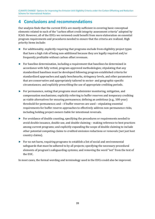## <span id="page-38-0"></span>**4 Conclusions and recommendations**

Our analysis finds that the current EUCs are mostly sufficient in covering basic conceptual elements related to each of the "carbon offset credit integrity assessment criteria" adopted by ICAO. However, all of the EUCs we reviewed could benefit from more elaboration on essential program requirements and procedures needed to ensure that the criteria are realized. High priority items include:

- ► For additionality, explicitly requiring that programs exclude from eligibility project types that have a high risk of being non-additional because they are legally required and/or frequently profitable without carbon offset revenues.
- ► For baseline determination, including a requirement that baselines be determined in accordance with fully vetted, program-approved methodologies; stipulating that any standardized baselines must be developed following program-established criteria for standardized approaches and apply benchmarks, stringency levels, and other parameters that are conservative and appropriately tailored to sector- and geographic-specific circumstances; and explicitly prescribing the use of appropriate crediting periods.
- ► For permanence, noting that programs must administer monitoring, mitigation, and compensation mechanisms; explicitly referring to buffer reserves and temporary crediting as viable alternatives for ensuring permanence; defining an ambitious (e.g., 100-year) threshold for permanence; and – if buffer reserves are used – stipulating essential requirements for buffer reserve approaches to effectively address non-permanence risks, including holding project owners liable for intentional reversals.
- ► For avoidance of double counting, specifying the procedures or requirements needed to avoid double issuance, double use, and double claiming – making reference to best practices among current programs; and explicitly expanding the scope of double claiming to include other potential competing claims to credited emission reductions or removals (not just host country claims).
- ► For no net harm, requiring programs to establish a list of social and environmental safeguards that must be adhered to by all projects; specifying the necessary procedural elements of program's safeguarding systems; and removing the word "net" from the text of the EUC.

In most cases, the formal wording and terminology used in the EUCs could also be improved.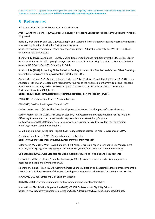CLIMATE CHANGE Options for Improving the Emission Unit Eligibility Criteria under the Carbon Offsetting and Reduction Scheme for International Aviation – **Fehler! Verweisquelle konnte nicht gefunden werden.**

## <span id="page-40-0"></span>**5 References**

Adaptation Fund (2013). Environmental and Social Policy.

Arens, C. and Mersmann, F. (2018). Positive Results, No Negative Consequences: No-Harm Options for Article 6. Wuppertal.

Bailis, R., Broekhoff, D. and Lee, C. (2016). Supply and Sustainability of Carbon Offsets and Alternative Fuels for International Aviation. Stockholm Environment Institute.

https://www.seiinternational.org/mediamanager/documents/Publications/Climate/SEI-WP-2016-03-ICAOaviation-offsets-biofuels.pdf.

Blandford, L., Davis, S. and Cozzi, P. (2017). Using Transfers to Enhance Ambition over the NDC Cycles. Center for Clean Air Policy. http://ccap.org/assets/Center-for-Clean-Air-Policy-Using-Transfers-to-Enhance-Ambitionover-the-NDC-Cycles-Sept-2017-final-1.pdf. Brief.

Broekhoff, D. (2007). Expanding Global Emissions Trading: Prospects for Standardized Carbon Offset Crediting. International Emissions Trading Association, Washington , D.C.

Cames, M., Harthan, R. O., Fussler, J., Lazarus, M., Lee, C. M., Erickson, P. and Spalding-Fecher, R. (2016). How Additional Is the Clean Development Mechanism? Analysis of the Application of Current Tools and Proposed Alternatives. CLlMA.B.3/SERl2013/0026r. Prepared for DG Clima by Oko-Institut, INFRAS, Stockholm Environment Institute (SEI), Berlin.

https://ec.europa.eu/clima/sites/clima/files/ets/docs/clean\_dev\_mechanism\_en.pdf.

CAR (2015). Climate Action Reserve Program Manual.

CAR (2017). Verification Program Manual. 1–63.

Carbon market watch (2018). The Clean Development Mechanism: Local Impacts of a Global System.

Carbon Market Watch (2019). First Class or Economy? An Assessment of Credit Providers for the Avia-tion Offsetting Scheme. Carbon Market Watch. https://carbonmarketwatch.org/wp/wpcontent/uploads/2019/03/First-class-or-economy-an-assessment-of-credit-providers-for-the-aviationoffsetting-scheme-2.pdf. Policy Briefing.

CDM Policy Dialogue (2012). Final Report: CDM Policy Dialogue's Research Area: Governance of CDM.

Climate Action Reserve (2011). Program Manual. Los Angeles. http://www.climateactionreserve.org/how/program/program-manual/.

Gillenwater, M. (2011). What Is Additionality? (In 3 Parts). Discussion Paper. Greenhouse Gas Management Institute, Silver Spring, MD. http://ghginstitute.org/2012/01/25/how-do-you-explain-additionality/.

Gold Standard (2018). Gold Standard for Global Goals: Safeguarding Principles and Requirements.

Hayashi, D., Müller, N., Feige, S. and Michaelowa, A. (2010). Towards a more standardised approach to baselines and additionality under the CDM.

Horstmann, B. and Hein, J. (2017). Aligning Climate Change Mitigation and Sustainable Development Under the UNFCCC: A Critical Assessment of the Clean Development Mechanism, the Green Climate Fund and REDD+.

ICAO (2019). CORSIA Emissions Unit Eligibility Criteria.

IFC (2012). IFC Performance Standards on Environmental and Social Sustainability.

International Civil Aviation Organization (2019). CORSIA Emissions Unit Eligibility Criteria. https://www.icao.int/environmental-protection/CORSIA/Documents/ICAO%20document%2009.pdf.